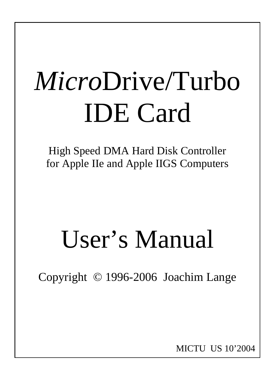# *Micro*Drive/Turbo IDE Card

High Speed DMA Hard Disk Controller for Apple IIe and Apple IIGS Computers

# User's Manual

Copyright © 1996-2006 Joachim Lange

MICTU US 10'2004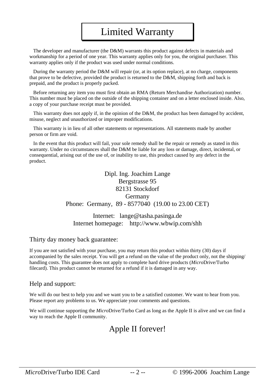# Limited Warranty

 The developer and manufacturer (the D&M) warrants this product against defects in materials and workmanship for a period of one year. This warranty applies only for you, the original purchaser. This warranty applies only if the product was used under normal conditions.

 During the warranty period the D&M will repair (or, at its option replace), at no charge, components that prove to be defective, provided the product is returned to the D&M, shipping forth and back is prepaid, and the product is properly packed.

 Before returning any item you must first obtain an RMA (Return Merchandise Authorization) number. This number must be placed on the outside of the shipping container and on a letter enclosed inside. Also, a copy of your purchase receipt must be provided.

This warranty does not apply if, in the opinion of the D&M, the product has been damaged by accident, misuse, neglect and unauthorized or improper modifications.

 This warranty is in lieu of all other statements or representations. All statements made by another person or firm are void.

 In the event that this product will fail, your sole remedy shall be the repair or remedy as stated in this warranty. Under no circumstances shall the D&M be liable for any loss or damage, direct, incidental, or consequential, arising out of the use of, or inability to use, this product caused by any defect in the product.

> Dipl. Ing. Joachim Lange Bergstrasse 95 82131 Stockdorf Germany Phone: Germany, 89 - 8577040 (19.00 to 23.00 CET)

Internet: lange@tasha.pasinga.de Internet homepage: http://www.wbwip.com/shh

#### Thirty day money back guarantee:

If you are not satisfied with your purchase, you may return this product within thirty (30) days if accompanied by the sales receipt. You will get a refund on the value of the product only, not the shipping/ handling costs. This guarantee does not apply to complete hard drive products (*Micro*Drive/Turbo filecard). This product cannot be returned for a refund if it is damaged in any way.

#### Help and support:

We will do our best to help you and we want you to be a satisfied customer. We want to hear from you. Please report any problems to us. We appreciate your comments and questions.

We will continue supporting the *Micro*Drive/Turbo Card as long as the Apple II is alive and we can find a way to reach the Apple II community.

# Apple II forever!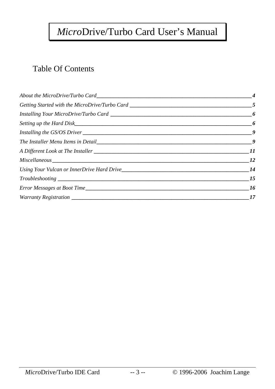# *Micro*Drive/Turbo Card User's Manual

# Table Of Contents

| -11            |
|----------------|
| <i>12</i>      |
| <b>14</b>      |
| 15             |
| <b>16</b>      |
| $\frac{17}{2}$ |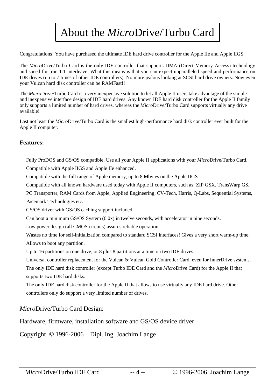# About the *Micro*Drive/Turbo Card

Congratulations! You have purchased the ultimate IDE hard drive controller for the Apple IIe and Apple IIGS.

The *Micro*Drive/Turbo Card is the only IDE controller that supports DMA (Direct Memory Access) technology and speed for true 1:1 interleave. What this means is that you can expect unparalleled speed and performance on IDE drives (up to 7 times of other IDE controllers). No more jealous looking at SCSI hard drive owners. Now even your Vulcan hard disk controller can be RAMFast!!

The *Micro*Drive/Turbo Card is a very inexpensive solution to let all Apple II users take advantage of the simple and inexpensive interface design of IDE hard drives. Any known IDE hard disk controller for the Apple II family only supports a limited number of hard drives, whereas the *Micro*Drive/Turbo Card supports virtually any drive available!

Last not least the *Micro*Drive/Turbo Card is the smallest high-performance hard disk controller ever built for the Apple II computer.

#### **Features:**

 Fully ProDOS and GS/OS compatible. Use all your Apple II applications with your *Micro*Drive/Turbo Card. Compatible with Apple IIGS and Apple IIe enhanced.

Compatible with the full range of Apple memory, up to 8 Mbytes on the Apple IIGS.

Compatible with all known hardware used today with Apple II computers, such as: ZIP GSX, TransWarp GS,

PC Transporter, RAM Cards from Apple, Applied Engineering, CV-Tech, Harris, Q-Labs, Sequential Systems, Pacemark Technologies etc.

GS/OS driver with GS/OS caching support included.

Can boot a minimum GS/OS System (6.0x) in twelve seconds, with accelerator in nine seconds.

Low power design (all CMOS circuits) assures reliable operation.

 Wastes no time for self-initialization compared to standard SCSI interfaces! Gives a very short warm-up time. Allows to boot any partition.

Up to 16 partitions on one drive, or 8 plus 8 partitions at a time on two IDE drives.

 Universal controller replacement for the Vulcan & Vulcan Gold Controller Card, even for InnerDrive systems. The only IDE hard disk controller (except Turbo IDE Card and the *Micro*Drive Card) for the Apple II that supports two IDE hard disks.

 The only IDE hard disk controller for the Apple II that allows to use virtually any IDE hard drive. Other controllers only do support a very limited number of drives.

### *Micro*Drive/Turbo Card Design:

Hardware, firmware, installation software and GS/OS device driver

Copyright © 1996-2006 Dipl. Ing. Joachim Lange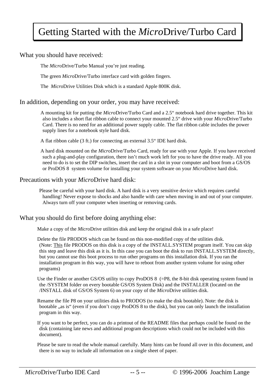# Getting Started with the *Micro*Drive/Turbo Card

#### What you should have received:

The *Micro*Drive/Turbo Manual you're just reading.

The green *Micro*Drive/Turbo interface card with golden fingers.

The *Micro*Drive Utilities Disk which is a standard Apple 800K disk.

#### In addition, depending on your order, you may have received:

 A mounting kit for putting the *Micro*Drive/Turbo Card and a 2.5" notebook hard drive together. This kit also includes a short flat ribbon cable to connect your mounted 2.5" drive with your *Micro*Drive/Turbo Card. There is no need for an additional power supply cable. The flat ribbon cable includes the power supply lines for a notebook style hard disk.

A flat ribbon cable (3 ft.) for connecting an external 3.5" IDE hard disk.

 A hard disk mounted on the *Micro*Drive/Turbo Card, ready for use with your Apple. If you have received such a plug-and-play configuration, there isn't much work left for you to have the drive ready. All you need to do is to set the DIP switches, insert the card in a slot in your computer and boot from a GS/OS or ProDOS 8 system volume for installing your system software on your *Micro*Drive hard disk.

#### Precautions with your *Micro*Drive hard disk:

 Please be careful with your hard disk. A hard disk is a very sensitive device which requires careful handling! Never expose to shocks and also handle with care when moving in and out of your computer. Always turn off your computer when inserting or removing cards.

#### What you should do first before doing anything else:

Make a copy of the *Micro*Drive utilities disk and keep the original disk in a safe place!

 Delete the file PRODOS which can be found on this non-modified copy of the utilities disk. (Note: This file PRODOS on this disk is a copy of the INSTALL.SYSTEM program itself. You can skip this step and leave this disk as it is. In this case you can boot the disk to run INSTALL.SYSTEM directly, but you cannot use this boot process to run other programs on this installation disk. If you ran the installation program in this way, you will have to reboot from another system volume for using other programs)

Use the Finder or another GS/OS utility to copy ProDOS 8 (=P8, the 8-bit disk operating system found in the /SYSTEM folder on every bootable GS/OS System Disk) and the INSTALLER (located on the /INSTALL disk of GS/OS System 6) on your copy of the *Micro*Drive utilities disk.

 Rename the file P8 on your utilities disk to PRODOS (to make the disk bootable). Note: the disk is bootable "as is" (even if you don't copy ProDOS 8 to the disk), but you can only launch the installation program in this way.

 If you want to be perfect, you can do a printout of the README files that perhaps could be found on the disk (containing late news and additional program descriptions which could not be included with this document).

 Please be sure to read the whole manual carefully. Many hints can be found all over in this document, and there is no way to include all information on a single sheet of paper.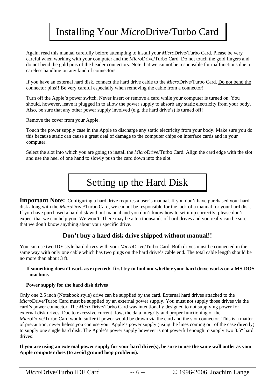# Installing Your *Micro*Drive/Turbo Card

 Again, read this manual carefully before attempting to install your *Micro*Drive/Turbo Card. Please be very careful when working with your computer and the *Micro*Drive/Turbo Card. Do not touch the gold fingers and do not bend the gold pins of the header connectors. Note that we cannot be responsible for malfunctions due to careless handling on any kind of connectors.

 If you have an external hard disk, connect the hard drive cable to the *Micro*Drive/Turbo Card. Do not bend the connector pins!! Be very careful especially when removing the cable from a connector!

 Turn off the Apple's power switch. Never insert or remove a card while your computer is turned on. You should, however, leave it plugged in to allow the power supply to absorb any static electricity from your body. Also, be sure that any other power supply involved (e.g. the hard drive's) is turned off!

Remove the cover from your Apple.

 Touch the power supply case in the Apple to discharge any static electricity from your body. Make sure you do this because static can cause a great deal of damage to the computer chips on interface cards and in your computer.

 Select the slot into which you are going to install the *Micro*Drive/Turbo Card. Align the card edge with the slot and use the heel of one hand to slowly push the card down into the slot.

# Setting up the Hard Disk

**Important Note:** Configuring a hard drive requires a user's manual. If you don't have purchased your hard disk along with the *Micro*Drive/Turbo Card, we cannot be responsible for the lack of a manual for your hard disk. If you have purchased a hard disk without manual and you don't know how to set it up correctly, please don't expect that we can help you! We won't. There may be a ten thousands of hard drives and you really can be sure that we don't know anything about your specific drive.

### **Don't buy a hard disk drive shipped without manual!!**

You can use two IDE style hard drives with your *Micro*Drive/Turbo Card. Both drives must be connected in the same way with only one cable which has two plugs on the hard drive's cable end. The total cable length should be no more than about 3 ft.

#### **If something doesn't work as expected: first try to find out whether your hard drive works on a MS-DOS machine.**

#### **Power supply for the hard disk drives**

Only one 2.5 inch (Notebook style) drive can be supplied by the card. External hard drives attached to the *Micro*Drive/Turbo Card must be supplied by an external power supply. You must not supply those drives via the card's power connector. The *Micro*Drive/Turbo Card was intentionally designed to not supplying power for external disk drives. Due to excessive current flow, the data integrity and proper functioning of the *Micro*Drive/Turbo Card would suffer if power would be drawn via the card and the slot connector. This is a matter of precaution, nevertheless you can use your Apple's power supply (using the lines coming out of the case directly) to supply one single hard disk. The Apple's power supply however is not powerful enough to supply two 3.5" hard drives!

**If you are using an external power supply for your hard drive(s), be sure to use the same wall outlet as your Apple computer does (to avoid ground loop problems).**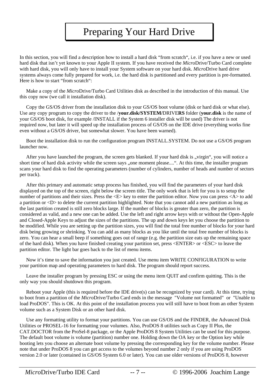# Preparing Your Hard Drive

In this section, you will find a description how to install a hard disk "from scratch", i.e. if you have a new or used hard disk that isn't yet known to your Apple II system. If you have received the *Micro*Drive/Turbo Card complete with hard disk, you will only have to install your System software on your hard disk. *Micro*Drive hard drive systems always come fully prepared for work, i.e. the hard disk is partitioned and every partition is pre-formatted. Here is how to start "from scratch":

 Make a copy of the *Micro*Drive/Turbo Card Utilities disk as described in the introduction of this manual. Use this copy now (we call it installation disk).

 Copy the GS/OS driver from the installation disk to your GS/OS boot volume (disk or hard disk or what else). Use any copy program to copy the driver to the /**your.disk/SYSTEM/**DRIVE**RS** folder (**your.disk** is the name of your GS/OS boot disk, for example /INSTALL if the System 6 installer disk will be used) The driver is not required now, but later it will speed up the installation process of GS/OS on the IDE drive (everything works fine even without a GS/OS driver, but somewhat slower. You have been warned).

 Boot the installation disk to run the configuration program INSTALL.SYSTEM. Do not use a GS/OS program launcher now.

After you have launched the program, the screen gets blanked. If your hard disk is "virgin", you will notice a short time of hard disk activity while the screen says "one moment please....". At this time, the installer program scans your hard disk to find the operating parameters (number of cylinders, number of heads and number of sectors per track).

 After this primary and automatic setup process has finished, you will find the parameters of your hard disk displayed on the top of the screen, right below the screen title. The only work that is left for you is to setup the number of partitions and their sizes. Press the  $\langle E \rangle$  key to enter the partition editor. Now you can press  $\langle A \rangle$  to add a partition or <D> to delete the current partition highlighted. Note that you cannot add a new partition as long as the last partition created is still zero blocks large. If the number of blocks is greater than zero, the partition is considered as valid, and a new one can be added. Use the left and right arrow keys with or without the Open-Apple and Closed-Apple Keys to adjust the sizes of the partitions. The up and down keys let you choose the partition to be modified. While you are setting up the partition sizes, you will find the total free number of blocks for your hard disk being growing or shrinking. You can add as many blocks as you like until the total free number of blocks is zero. You can hear a small beep if something goes out of range (e.g. the partition size eats up the remaining space of the hard disk). When you have finished creating your partition set, press <ENTER> or <ESC> to leave the partition editor. The light bar goes back to the list of menu items.

 Now it's time to save the information you just created. Use menu item WRITE CONFIGURATION to write your partition map and operating parameters to hard disk. The program should report success.

 Leave the installer program by pressing ESC or using the menu item QUIT and confirm quitting. This is the only way you should shutdown this program.

 Reboot your Apple (this is required before the IDE drive(s) can be recognized by your card). At this time, trying to boot from a partition of the *Micro*Drive/Turbo Card ends in the message "Volume not formatted" or "Unable to load ProDOS". This is OK. At this point of the installation process you will still have to boot from an other System volume such as a System Disk or an other hard disk.

 Use any formatting utility to format your partitions. You can use GS/OS and the FINDER, the Advanced Disk Utilities or PROSEL-16 for formatting your volumes. Also, ProDOS 8 utilities such as Copy II Plus, the CAT.DOCTOR from the ProSel-8 package, or the Apple ProDOS 8 System Utilities can be used for this purpose. The default boot volume is volume (partition) number one. Holding down the OA key or the Option key while booting lets you choose an alternate boot volume by pressing the corresponding key for the volume number. Please note that under ProDOS 8 you can get access to the volumes beyond number 2 only if you are using ProDOS version 2.0 or later (contained in GS/OS System 6.0 or later). You can use older versions of ProDOS 8, however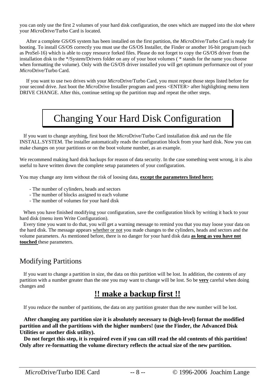you can only use the first 2 volumes of your hard disk configuration, the ones which are mapped into the slot where your *Micro*Drive/Turbo Card is located.

 After a complete GS/OS system has been installed on the first partition, the *Micro*Drive/Turbo Card is ready for booting. To install GS/OS correctly you must use the GS/OS Installer, the Finder or another 16-bit program (such as ProSel-16) which is able to copy resource forked files. Please do not forget to copy the GS/OS driver from the installation disk to the \*/System/Drivers folder on any of your boot volumes ( \* stands for the name you choose when formatting the volume). Only with the GS/OS driver installed you will get optimum performance out of your *Micro*Drive/Turbo Card.

 If you want to use two drives with your *Micro*Drive/Turbo Card, you must repeat those steps listed before for your second drive. Just boot the *Micro*Drive Installer program and press <ENTER> after highlighting menu item DRIVE CHANGE. After this, continue setting up the partition map and repeat the other steps.

# Changing Your Hard Disk Configuration

 If you want to change anything, first boot the *Micro*Drive/Turbo Card installation disk and run the file INSTALL.SYSTEM. The installer automatically reads the configuration block from your hard disk. Now you can make changes on your partitions or on the boot volume number, as an example.

We recommend making hard disk backups for reason of data security. In the case something went wrong, it is also useful to have written down the complete setup parameters of your configuration.

You may change any item without the risk of loosing data, **except the parameters listed here:**

- The number of cylinders, heads and sectors
- The number of blocks assigned to each volume
- The number of volumes for your hard disk

 When you have finished modifying your configuration, save the configuration block by writing it back to your hard disk (menu item Write Configuration).

 Every time you want to do that, you will get a warning message to remind you that you may loose your data on the hard disk. The message appears whether or not you made changes to the cylinders, heads and sectors and the volume parameters. As mentioned before, there is no danger for your hard disk data **as long as you have not touched** these parameters.

## Modifying Partitions

 If you want to change a partition in size, the data on this partition will be lost. In addition, the contents of any partition with a number greater than the one you may want to change will be lost. So be **very** careful when doing changes and

## **!! make a backup first !!**

If you reduce the number of partitions, the data on any partition greater than the new number will be lost.

 **After changing any partition size it is absolutely necessary to (high-level) format the modified partition and all the partitions with the higher numbers! (use the Finder, the Advanced Disk Utilities or another disk utility).** 

 **Do not forget this step, it is required even if you can still read the old contents of this partition! Only after re-formatting the volume directory reflects the actual size of the new partition.**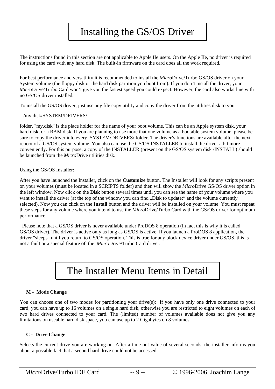# Installing the GS/OS Driver

The instructions found in this section are not applicable to Apple IIe users. On the Apple IIe, no driver is required for using the card with any hard disk. The built-in firmware on the card does all the work required.

For best performance and versatility it is recommended to install the *Micro*Drive/Turbo GS/OS driver on your System volume (the floppy disk or the hard disk partition you boot from). If you don*'*t install the driver, your *Micro*Drive/Turbo Card won't give you the fastest speed you could expect. However, the card also works fine with no GS/OS driver installed.

To install the GS/OS driver, just use any file copy utility and copy the driver from the utilities disk to your

#### /my.disk/SYSTEM/DRIVERS/

folder. "my.disk" is the place holder for the name of your boot volume. This can be an Apple system disk, your hard disk, or a RAM disk. If you are planning to use more that one volume as a bootable system volume, please be sure to copy the driver into every SYSTEM/DRIVERS/ folder. The driver's functions are available after the next reboot of a GS/OS system volume. You also can use the GS/OS INSTALLER to install the driver a bit more conveniently. For this purpose, a copy of the INSTALLER (present on the GS/OS system disk /INSTALL) should be launched from the *Micro*Drive utilities disk.

Using the GS/OS Installer:

After you have launched the Installer, click on the **Customize** button. The Installer will look for any scripts present on your volumes (must be located in a SCRIPTS folder) and then will show the *Micro*Drive GS/OS driver option in the left window. Now click on the **Disk** button several times until you can see the name of your volume where you want to install the driver (at the top of the window you can find "Disk to update:" and the volume currently selected). Now you can click on the **Install** button and the driver will be installed on your volume. You must repeat these steps for any volume where you intend to use the *Micro*Drive/Turbo Card with the GS/OS driver for optimum performance.

 Please note that a GS/OS driver is never available under ProDOS 8 operation (in fact this is why it is called GS/OS driver). The driver is active only as long as GS/OS is active. If you launch a ProDOS 8 application, the driver "sleeps" until you return to GS/OS operation. This is true for any block device driver under GS/OS, this is not a fault or a special feature of the *Micro*Drive/Turbo Card driver.

# The Installer Menu Items in Detail

#### **M - Mode Change**

You can choose one of two modes for partitioning your drive(s): If you have only one drive connected to your card, you can have up to 16 volumes on a single hard disk, otherwise you are restricted to eight volumes on each of two hard drives connected to your card. The (limited) number of volumes available does not give you any limitations on useable hard disk space, you can use up to 2 Gigabytes on 8 volumes.

#### **C - Drive Change**

Selects the current drive you are working on. After a time-out value of several seconds, the installer informs you about a possible fact that a second hard drive could not be accessed.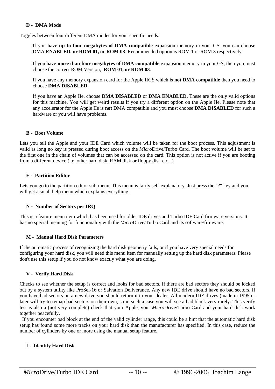#### **D - DMA Mode**

Toggles between four different DMA modes for your specific needs:

If you have **up to four megabytes of DMA compatible** expansion memory in your GS, you can choose DMA **ENABLED, or ROM 01, or ROM 03**. Recommended option is ROM 1 or ROM 3 respectively.

If you have **more than four megabytes of DMA compatible** expansion memory in your GS, then you must choose the correct ROM Version, **ROM 01, or ROM 03**.

If you have any memory expansion card for the Apple IIGS which is **not DMA compatible** then you need to choose **DMA DISABLED**.

If you have an Apple IIe, choose **DMA DISABLED** or **DMA ENABLED.** These are the only valid options for this machine. You will get weird results if you try a different option on the Apple IIe. Please note that any accelerator for the Apple IIe is **not** DMA compatible and you must choose **DMA DISABLED** for such a hardware or you will have problems.

#### **B - Boot Volume**

Lets you tell the Apple and your IDE Card which volume will be taken for the boot process. This adjustment is valid as long no key is pressed during boot access on the *Micro*Drive/Turbo Card. The boot volume will be set to the first one in the chain of volumes that can be accessed on the card. This option is not active if you are booting from a different device (i.e. other hard disk, RAM disk or floppy disk etc...)

#### **E - Partition Editor**

Lets you go to the partition editor sub-menu. This menu is fairly self-explanatory. Just press the "?" key and you will get a small help menu which explains everything.

#### **N - Number of Sectors per IRQ**

This is a feature menu item which has been used for older IDE drives and Turbo IDE Card firmware versions. It has no special meaning for functionality with the *Micro*Drive/Turbo Card and its software/firmware.

#### **M - Manual Hard Disk Parameters**

If the automatic process of recognizing the hard disk geometry fails, or if you have very special needs for configuring your hard disk, you will need this menu item for manually setting up the hard disk parameters. Please don't use this setup if you do not know exactly what you are doing.

#### **V - Verify Hard Disk**

Checks to see whether the setup is correct and looks for bad sectors. If there are bad sectors they should be locked out by a system utility like ProSel-16 or Salvation Deliverance. Any new IDE drive should have no bad sectors. If you have bad sectors on a new drive you should return it to your dealer. All modern IDE drives (made in 1995 or later will try to remap bad sectors on their own, so in such a case you will see a bad block very rarely. This verify test is also a (not very complete) check that your Apple, your *Micro*Drive/Turbo Card and your hard disk work together peacefully.

 If you encounter bad block at the end of the valid cylinder range, this could be a hint that the automatic hard disk setup has found some more tracks on your hard disk than the manufacturer has specified. In this case, reduce the number of cylinders by one or more using the manual setup feature.

#### **I - Identify Hard Disk**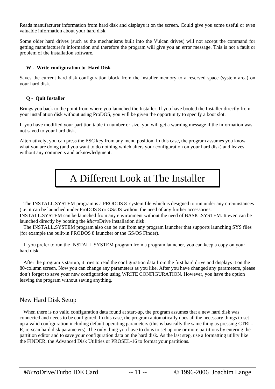Reads manufacturer information from hard disk and displays it on the screen. Could give you some useful or even valuable information about your hard disk.

Some older hard drives (such as the mechanisms built into the Vulcan drives) will not accept the command for getting manufacturer's information and therefore the program will give you an error message. This is not a fault or problem of the installation software.

#### **W - Write configuration to Hard Disk**

Saves the current hard disk configuration block from the installer memory to a reserved space (system area) on your hard disk.

#### **Q - Quit Installer**

Brings you back to the point from where you launched the Installer. If you have booted the Installer directly from your installation disk without using ProDOS, you will be given the opportunity to specify a boot slot.

If you have modified your partition table in number or size, you will get a warning message if the information was not saved to your hard disk.

Alternatively, you can press the ESC key from any menu position. In this case, the program assumes you know what you are doing (and you want to do nothing which alters your configuration on your hard disk) and leaves without any comments and acknowledgment.



 The INSTALL.SYSTEM program is a PRODOS 8 system file which is designed to run under any circumstances (i.e. it can be launched under ProDOS 8 or GS/OS without the need of any further accessories.

INSTALL.SYSTEM can be launched from any environment without the need of BASIC.SYSTEM. It even can be launched directly by booting the *Micro*Drive installation disk.

 The INSTALL.SYSTEM program also can be run from any program launcher that supports launching SYS files (for example the built-in PRODOS 8 launcher or the GS/OS Finder).

 If you prefer to run the INSTALL.SYSTEM program from a program launcher, you can keep a copy on your hard disk.

 After the program's startup, it tries to read the configuration data from the first hard drive and displays it on the 80-column screen. Now you can change any parameters as you like. After you have changed any parameters, please don't forget to save your new configuration using WRITE CONFIGURATION. However, you have the option leaving the program without saving anything.

### New Hard Disk Setup

 When there is no valid configuration data found at start-up, the program assumes that a new hard disk was connected and needs to be configured. In this case, the program automatically does all the necessary things to set up a valid configuration including default operating parameters (this is basically the same thing as pressing CTRL-R, re-scan hard disk parameters). The only thing you have to do is to set up one or more partitions by entering the partition editor and to save your configuration data on the hard disk. As the last step, use a formatting utility like the FINDER, the Advanced Disk Utilities or PROSEL-16 to format your partitions.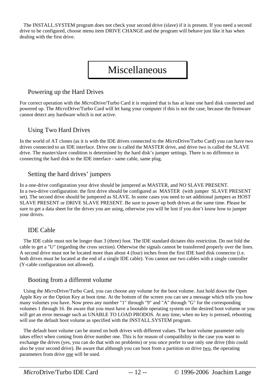The INSTALL.SYSTEM program does not check your second drive (slave) if it is present. If you need a second drive to be configured, choose menu item DRIVE CHANGE and the program will behave just like it has when dealing with the first drive.

# Miscellaneous

### Powering up the Hard Drives

For correct operation with the *Micro*Drive/Turbo Card it is required that is has at least one hard disk connected and powered up. The *Micro*Drive/Turbo Card will let hang your computer if this is not the case, because the firmware cannot detect any hardware which is not active.

### Using Two Hard Drives

In the world of AT clones (as it is with the IDE drives connected to the *Micro*Drive/Turbo Card) you can have two drives connected to an IDE interface. Drive one is called the MASTER drive, and drive two is called the SLAVE drive. The master/slave condition is determined by the hard disk's jumper settings. There is no difference in connecting the hard disk to the IDE interface - same cable, same plug.

### Setting the hard drives' jumpers

In a one-drive configuration your drive should be jumpered as MASTER, and NO SLAVE PRESENT. In a two-drive configuration: the first drive should be configured as MASTER (with jumper SLAVE PRESENT set). The second drive should be jumpered as SLAVE. In some cases you need to set additional jumpers as HOST SLAVE PRESENT or DRIVE SLAVE PRESENT. Be sure to power up both drives at the same time. Please be sure to get a data sheet for the drives you are using, otherwise you will be lost if you don't know how to jumper your drives.

### IDE Cable

 The IDE cable must not be longer than 3 (three) foot. The IDE standard dictates this restriction. Do not fold the cable to get a "U" (regarding the cross section). Otherwise the signals cannot be transferred properly over the lines. A second drive must not be located more than about 4 (four) inches from the first IDE hard disk connector (i.e. both drives must be located at the end of a single IDE cable). You cannot use two cables with a single controller (Y-cable configuration not allowed).

#### Booting from a different volume

 Using the *Micro*Drive/Turbo Card, you can choose any volume for the boot volume. Just hold down the Open Apple Key or the Option Key at boot time. At the bottom of the screen you can see a message which tells you how many volumes you have. Now press any number "1" through "9" and "A" through "G" for the corresponding volumes 1 through 16. Be aware that you must have a bootable operating system on the desired boot volume or you will get an error message such as UNABLE TO LOAD PRODOS. At any time, when no key is pressed, rebooting will use the default boot volume as specified with the INSTALL.SYSTEM program.

 The default boot volume can be stored on both drives with different values. The boot volume parameter only takes effect when coming from drive number one. This is for reason of compatibility in the case you want to exchange the drives (yes, you can do that with no problems) or you once prefer to use only one drive (this could also be your second drive). Be aware that although you can boot from a partition on drive two, the operating parameters from drive one will be used.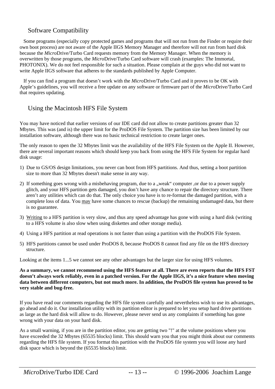### Software Compatibility

 Some programs (especially copy protected games and programs that will not run from the Finder or require their own boot process) are not aware of the Apple IIGS Memory Manager and therefore will not run from hard disk because the *Micro*Drive/Turbo Card requests memory from the Memory Manager. When the memory is overwritten by those programs, the *Micro*Drive/Turbo Card software will crash (examples: The Immortal, PHOTONIX). We do not feel responsible for such a situation. Please complain at the guys who did not want to write Apple IIGS software that adheres to the standards published by Apple Computer.

 If you can find a program that doesn't work with the *Micro*Drive/Turbo Card and it proves to be OK with Apple's guidelines, you will receive a free update on any software or firmware part of the *Micro*Drive/Turbo Card that requires updating.

### Using the Macintosh HFS File System

You may have noticed that earlier versions of our IDE card did not allow to create partitions greater than 32 Mbytes. This was (and is) the upper limit for the ProDOS File System. The partition size has been limited by our installation software, although there was no basic technical restriction to create larger ones.

The only reason to open the 32 Mbytes limit was the availability of the HFS File System on the Apple II. However, there are several important reasons which should keep you back from using the HFS File System for regular hard disk usage:

- 1) Due to GS/OS design limitations, you never can boot from HFS partitions. And thus, setting a boot partition size to more than 32 Mbytes doesn't make sense in any way.
- 2) If something goes wrong with a misbehaving program, due to a "weak" computer ,or due to a power supply glitch, and your HFS partition gets damaged, you don't have any chance to repair the directory structure. There aren't any utilities which can do that. The only choice you have is to re-format the damaged partition, with a complete loss of data. You may have some chances to rescue (backup) the remaining undamaged data, but there is no guarantee.
- 3) Writing to a HFS partition is very slow, and thus any speed advantage has gone with using a hard disk (writing to a HFS volume is also slow when using diskettes and other storage media).
- 4) Using a HFS partition at read operations is not faster than using a partition with the ProDOS File System.
- 5) HFS partitions cannot be used under ProDOS 8, because ProDOS 8 cannot find any file on the HFS directory structure.

Looking at the items 1...5 we cannot see any other advantages but the larger size for using HFS volumes.

**As a summary, we cannot recommend using the HFS feature at all. There are even reports that the HFS FST doesn't always work reliably, even in a patched version. For the Apple IIGS, it's a nice feature when moving data between different computers, but not much more. In addition, the ProDOS file system has proved to be very stable and bug-free.** 

If you have read our comments regarding the HFS file system carefully and nevertheless wish to use its advantages, go ahead and do it. Our installation utility with its partition editor is prepared to let you setup hard drive partitions as large as the hard disk will allow to do. However, please never send us any complaints if something has gone wrong with your data on your hard disk.

As a small warning, if you are in the partition editor, you are getting two "!" at the volume positions where you have exceeded the 32 Mbytes (65535 blocks) limit. This should warn you that you might think about our comments regarding the HFS file system. If you format this partition with the ProDOS file system you will loose any hard disk space which is beyond the (65535 blocks) limit.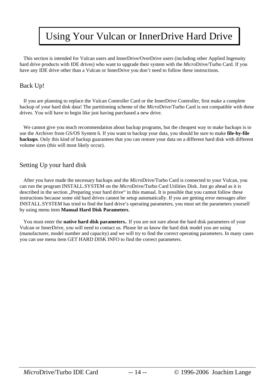# Using Your Vulcan or InnerDrive Hard Drive

 This section is intended for Vulcan users and InnerDrive/OverDrive users (including other Applied Ingenuity hard drive products with IDE drives) who want to upgrade their system with the *Micro*Drive/Turbo Card. If you have any IDE drive other than a Vulcan or InnerDrive you don't need to follow these instructions.

### Back Up!

 If you are planning to replace the Vulcan Controller Card or the InnerDrive Controller, first make a complete backup of your hard disk data! The partitioning scheme of the *Micro*Drive/Turbo Card is not compatible with these drives. You will have to begin like just having purchased a new drive.

 We cannot give you much recommendation about backup programs, but the cheapest way to make backups is to use the Archiver from GS/OS System 6. If you want to backup your data, you should be sure to make **file-by-file backups**. Only this kind of backup guarantees that you can restore your data on a different hard disk with different volume sizes (this will most likely occur).

### Setting Up your hard disk

 After you have made the necessary backups and the *Micro*Drive/Turbo Card is connected to your Vulcan, you can run the program INSTALL.SYSTEM on the *Micro*Drive/Turbo Card Utilities Disk. Just go ahead as it is described in the section "Preparing your hard drive" in this manual. It is possible that you cannot follow these instructions because some old hard drives cannot be setup automatically. If you are getting error messages after INSTALL.SYSTEM has tried to find the hard drive's operating parameters, you must set the parameters yourself by using menu item **Manual Hard Disk Parameters**.

 You must enter the **native hard disk parameters.**. If you are not sure about the hard disk parameters of your Vulcan or InnerDrive, you will need to contact us. Please let us know the hard disk model you are using (manufacturer, model number and capacity) and we will try to find the correct operating parameters. In many cases you can use menu item GET HARD DISK INFO to find the correct parameters.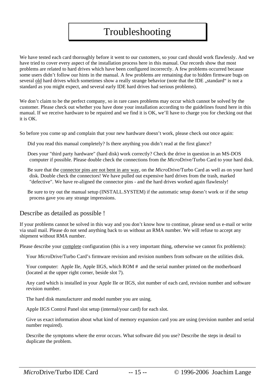# Troubleshooting

We have tested each card thoroughly before it went to our customers, so your card should work flawlessly. And we have tried to cover every aspect of the installation process here in this manual. Our records show that most problems are related to hard drives which have been configured incorrectly. A few problems occurred because some users didn't follow our hints in the manual. A few problems are remaining due to hidden firmware bugs on several old hard drives which sometimes show a really strange behavior (note that the IDE "standard" is not a standard as you might expect, and several early IDE hard drives had serious problems).

We don't claim to be the perfect company, so in rare cases problems may occur which cannot be solved by the customer. Please check out whether you have done your installation according to the guidelines found here in this manual. If we receive hardware to be repaired and we find it is OK, we'll have to charge you for checking out that it is OK.

So before you come up and complain that your new hardware doesn't work, please check out once again:

Did you read this manual completely? Is there anything you didn't read at the first glance?

 Does your "third party hardware" (hard disk) work correctly? Check the drive in question in an MS-DOS computer if possible. Please double check the connections from the *Micro*Drive/Turbo Card to your hard disk.

 Be sure that the connector pins are not bent in any way, on the *Micro*Drive/Turbo Card as well as on your hard disk. Double check the connectors! We have pulled out expensive hard drives from the trash, marked "defective". We have re-aligned the connector pins - and the hard drives worked again flawlessly!

 Be sure to try out the manual setup (INSTALL.SYSTEM) if the automatic setup doesn't work or if the setup process gave you any strange impressions.

#### Describe as detailed as possible !

If your problems cannot be solved in this way and you don't know how to continue, please send us e-mail or write via snail mail. Please do not send anything back to us without an RMA number. We will refuse to accept any shipment without RMA number.

Please describe your complete configuration (this is a very important thing, otherwise we cannot fix problems):

Your *Micro*Drive/Turbo Card's firmware revision and revision numbers from software on the utilities disk.

Your computer: Apple IIe, Apple IIGS, which ROM # and the serial number printed on the motherboard (located at the upper right corner, beside slot 7).

 Any card which is installed in your Apple IIe or IIGS, slot number of each card, revision number and software revision number.

The hard disk manufacturer and model number you are using.

Apple IIGS Control Panel slot setup (internal/your card) for each slot.

 Give us exact information about what kind of memory expansion card you are using (revision number and serial number required).

 Describe the symptoms where the error occurs. What software did you use? Describe the steps in detail to duplicate the problem.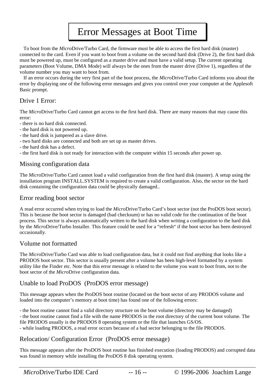# Error Messages at Boot Time

 To boot from the *Micro*Drive/Turbo Card, the firmware must be able to access the first hard disk (master) connected to the card. Even if you want to boot from a volume on the second hard disk (Drive 2), the first hard disk must be powered up, must be configured as a master drive and must have a valid setup. The current operating parameters (Boot Volume, DMA Mode) will always be the ones from the master drive (Drive 1), regardless of the volume number you may want to boot from.

 If an error occurs during the very first part of the boot process, the *Micro*Drive/Turbo Card informs you about the error by displaying one of the following error messages and gives you control over your computer at the Applesoft Basic prompt.

### Drive 1 Error:

The *Micro*Drive/Turbo Card cannot get access to the first hard disk. There are many reasons that may cause this error:

- there is no hard disk connected.
- the hard disk is not powered up.
- the hard disk is jumpered as a slave drive.
- two hard disks are connected and both are set up as master drives.
- the hard disk has a defect.
- the first hard disk is not ready for interaction with the computer within 15 seconds after power up.

### Missing configuration data

The *Micro*Drive/Turbo Card cannot load a valid configuration from the first hard disk (master). A setup using the installation program INSTALL.SYSTEM is required to create a valid configuration. Also, the sector on the hard disk containing the configuration data could be physically damaged..

### Error reading boot sector

A read error occurred when trying to load the *Micro*Drive/Turbo Card's boot sector (not the ProDOS boot sector). This is because the boot sector is damaged (bad checksum) or has no valid code for the continuation of the boot process. This sector is always automatically written to the hard disk when writing a configuration to the hard disk by the *Micro*Drive/Turbo Installer. This feature could be used for a "refresh" if the boot sector has been destroyed occasionally.

### Volume not formatted

The *Micro*Drive/Turbo Card was able to load configuration data, but it could not find anything that looks like a PRODOS boot sector. This sector is usually present after a volume has been high-level formatted by a system utility like the Finder etc. Note that this error message is related to the volume you want to boot from, not to the boot sector of the *Micro*Drive configuration data.

### Unable to load ProDOS (ProDOS error message)

This message appears when the ProDOS boot routine (located on the boot sector of any PRODOS volume and loaded into the computer's memory at boot time) has found one of the following errors:

- the boot routine cannot find a valid directory structure on the boot volume (directory may be damaged) - the boot routine cannot find a file with the name PRODOS in the root directory of the current boot volume. The file PRODOS usually is the PRODOS 8 operating system or the file that launches GS/OS. - while loading PRODOS, a read error occurs because of a bad sector belonging to the file PRODOS.

### Relocation/ Configuration Error (ProDOS error message)

This message appears after the ProDOS boot routine has finished execution (loading PRODOS) and corrupted data was found in memory while installing the ProDOS 8 disk operating system.